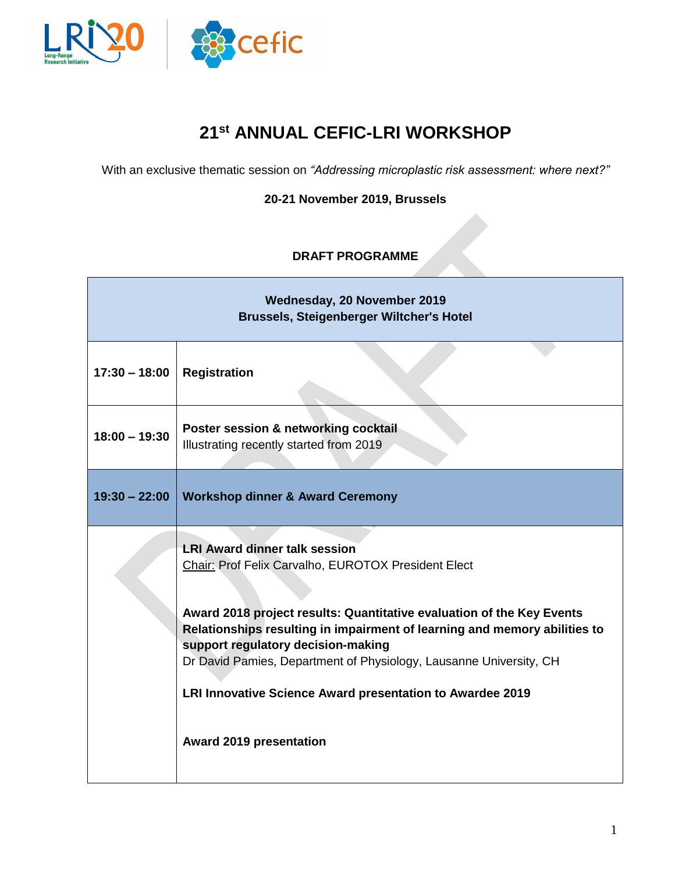

## **21 st ANNUAL CEFIC-LRI WORKSHOP**

With an exclusive thematic session on *"Addressing microplastic risk assessment: where next?"*

**20-21 November 2019, Brussels**

## **DRAFT PROGRAMME**

| Wednesday, 20 November 2019<br><b>Brussels, Steigenberger Wiltcher's Hotel</b> |                                                                                                                                                                                                                                                                                                                                                                                                                                                              |  |  |  |
|--------------------------------------------------------------------------------|--------------------------------------------------------------------------------------------------------------------------------------------------------------------------------------------------------------------------------------------------------------------------------------------------------------------------------------------------------------------------------------------------------------------------------------------------------------|--|--|--|
| $17:30 - 18:00$                                                                | <b>Registration</b>                                                                                                                                                                                                                                                                                                                                                                                                                                          |  |  |  |
| $18:00 - 19:30$                                                                | Poster session & networking cocktail<br>Illustrating recently started from 2019                                                                                                                                                                                                                                                                                                                                                                              |  |  |  |
| $19:30 - 22:00$                                                                | <b>Workshop dinner &amp; Award Ceremony</b>                                                                                                                                                                                                                                                                                                                                                                                                                  |  |  |  |
|                                                                                | <b>LRI Award dinner talk session</b><br>Chair: Prof Felix Carvalho, EUROTOX President Elect<br>Award 2018 project results: Quantitative evaluation of the Key Events<br>Relationships resulting in impairment of learning and memory abilities to<br>support regulatory decision-making<br>Dr David Pamies, Department of Physiology, Lausanne University, CH<br>LRI Innovative Science Award presentation to Awardee 2019<br><b>Award 2019 presentation</b> |  |  |  |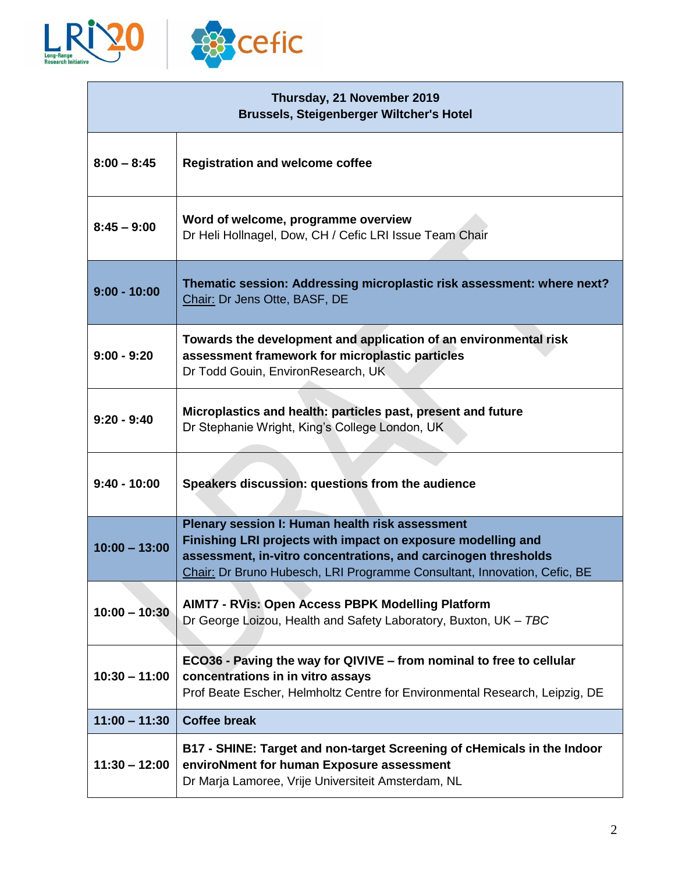

| Thursday, 21 November 2019<br><b>Brussels, Steigenberger Wiltcher's Hotel</b> |                                                                                                                                                                                                                                                               |  |
|-------------------------------------------------------------------------------|---------------------------------------------------------------------------------------------------------------------------------------------------------------------------------------------------------------------------------------------------------------|--|
| $8:00 - 8:45$                                                                 | <b>Registration and welcome coffee</b>                                                                                                                                                                                                                        |  |
| $8:45 - 9:00$                                                                 | Word of welcome, programme overview<br>Dr Heli Hollnagel, Dow, CH / Cefic LRI Issue Team Chair                                                                                                                                                                |  |
| $9:00 - 10:00$                                                                | Thematic session: Addressing microplastic risk assessment: where next?<br>Chair: Dr Jens Otte, BASF, DE                                                                                                                                                       |  |
| $9:00 - 9:20$                                                                 | Towards the development and application of an environmental risk<br>assessment framework for microplastic particles<br>Dr Todd Gouin, EnvironResearch, UK                                                                                                     |  |
| $9:20 - 9:40$                                                                 | Microplastics and health: particles past, present and future<br>Dr Stephanie Wright, King's College London, UK                                                                                                                                                |  |
| $9:40 - 10:00$                                                                | Speakers discussion: questions from the audience                                                                                                                                                                                                              |  |
| $10:00 - 13:00$                                                               | Plenary session I: Human health risk assessment<br>Finishing LRI projects with impact on exposure modelling and<br>assessment, in-vitro concentrations, and carcinogen thresholds<br>Chair: Dr Bruno Hubesch, LRI Programme Consultant, Innovation, Cefic, BE |  |
| $10:00 - 10:30$                                                               | AIMT7 - RVis: Open Access PBPK Modelling Platform<br>Dr George Loizou, Health and Safety Laboratory, Buxton, UK - TBC                                                                                                                                         |  |
| $10:30 - 11:00$                                                               | ECO36 - Paving the way for QIVIVE - from nominal to free to cellular<br>concentrations in in vitro assays<br>Prof Beate Escher, Helmholtz Centre for Environmental Research, Leipzig, DE                                                                      |  |
| $11:00 - 11:30$                                                               | <b>Coffee break</b>                                                                                                                                                                                                                                           |  |
| $11:30 - 12:00$                                                               | B17 - SHINE: Target and non-target Screening of cHemicals in the Indoor<br>enviroNment for human Exposure assessment<br>Dr Marja Lamoree, Vrije Universiteit Amsterdam, NL                                                                                    |  |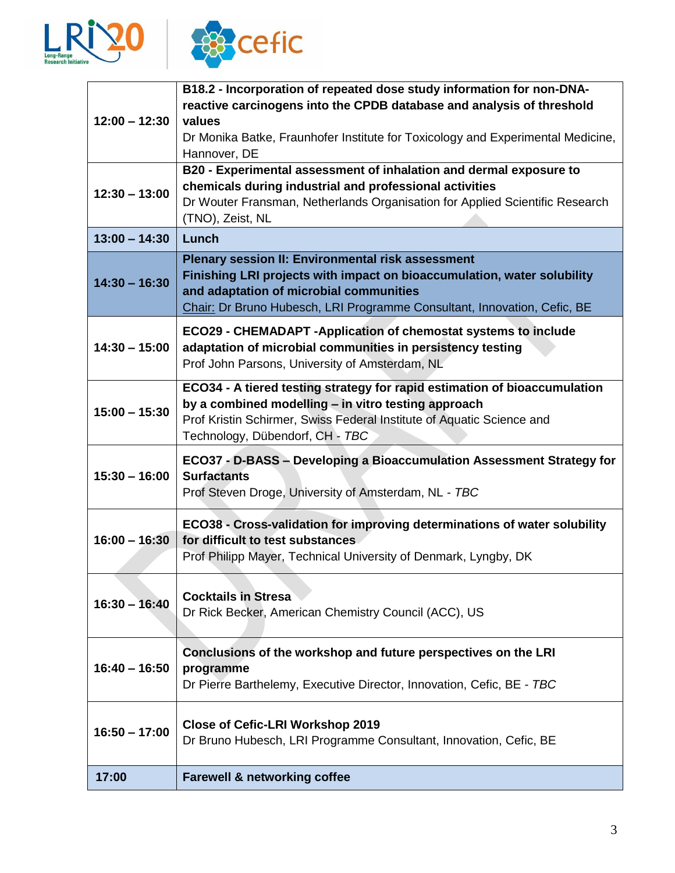



|                 | B18.2 - Incorporation of repeated dose study information for non-DNA-<br>reactive carcinogens into the CPDB database and analysis of threshold                                                                                                             |  |  |
|-----------------|------------------------------------------------------------------------------------------------------------------------------------------------------------------------------------------------------------------------------------------------------------|--|--|
| $12:00 - 12:30$ | values<br>Dr Monika Batke, Fraunhofer Institute for Toxicology and Experimental Medicine,                                                                                                                                                                  |  |  |
|                 | Hannover, DE                                                                                                                                                                                                                                               |  |  |
|                 | B20 - Experimental assessment of inhalation and dermal exposure to<br>chemicals during industrial and professional activities                                                                                                                              |  |  |
| $12:30 - 13:00$ | Dr Wouter Fransman, Netherlands Organisation for Applied Scientific Research                                                                                                                                                                               |  |  |
|                 | (TNO), Zeist, NL                                                                                                                                                                                                                                           |  |  |
| $13:00 - 14:30$ | Lunch                                                                                                                                                                                                                                                      |  |  |
| $14:30 - 16:30$ | <b>Plenary session II: Environmental risk assessment</b><br>Finishing LRI projects with impact on bioaccumulation, water solubility<br>and adaptation of microbial communities<br>Chair: Dr Bruno Hubesch, LRI Programme Consultant, Innovation, Cefic, BE |  |  |
| $14:30 - 15:00$ | ECO29 - CHEMADAPT - Application of chemostat systems to include<br>adaptation of microbial communities in persistency testing<br>Prof John Parsons, University of Amsterdam, NL                                                                            |  |  |
| $15:00 - 15:30$ | ECO34 - A tiered testing strategy for rapid estimation of bioaccumulation<br>by a combined modelling - in vitro testing approach<br>Prof Kristin Schirmer, Swiss Federal Institute of Aquatic Science and<br>Technology, Dübendorf, CH - TBC               |  |  |
| $15:30 - 16:00$ | ECO37 - D-BASS - Developing a Bioaccumulation Assessment Strategy for<br><b>Surfactants</b><br>Prof Steven Droge, University of Amsterdam, NL - TBC                                                                                                        |  |  |
|                 | ECO38 - Cross-validation for improving determinations of water solubility                                                                                                                                                                                  |  |  |
| $16:00 - 16:30$ | for difficult to test substances                                                                                                                                                                                                                           |  |  |
|                 | Prof Philipp Mayer, Technical University of Denmark, Lyngby, DK                                                                                                                                                                                            |  |  |
| $16:30 - 16:40$ | <b>Cocktails in Stresa</b><br>Dr Rick Becker, American Chemistry Council (ACC), US                                                                                                                                                                         |  |  |
|                 | Conclusions of the workshop and future perspectives on the LRI                                                                                                                                                                                             |  |  |
| $16:40 - 16:50$ | programme<br>Dr Pierre Barthelemy, Executive Director, Innovation, Cefic, BE - TBC                                                                                                                                                                         |  |  |
| $16:50 - 17:00$ | <b>Close of Cefic-LRI Workshop 2019</b><br>Dr Bruno Hubesch, LRI Programme Consultant, Innovation, Cefic, BE                                                                                                                                               |  |  |
| 17:00           | <b>Farewell &amp; networking coffee</b>                                                                                                                                                                                                                    |  |  |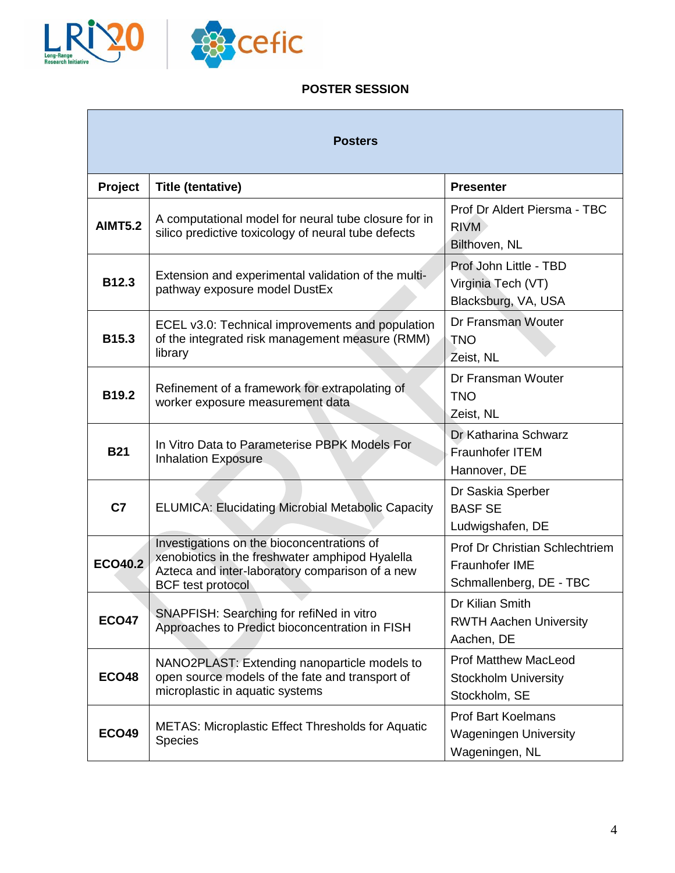

## **POSTER SESSION**

| <b>Posters</b> |                                                                                                                                                                              |                                                                                    |  |  |
|----------------|------------------------------------------------------------------------------------------------------------------------------------------------------------------------------|------------------------------------------------------------------------------------|--|--|
| Project        | <b>Title (tentative)</b>                                                                                                                                                     | <b>Presenter</b>                                                                   |  |  |
| <b>AIMT5.2</b> | A computational model for neural tube closure for in<br>silico predictive toxicology of neural tube defects                                                                  | Prof Dr Aldert Piersma - TBC<br><b>RIVM</b><br>Bilthoven, NL                       |  |  |
| <b>B12.3</b>   | Extension and experimental validation of the multi-<br>pathway exposure model DustEx                                                                                         | Prof John Little - TBD<br>Virginia Tech (VT)<br>Blacksburg, VA, USA                |  |  |
| <b>B15.3</b>   | ECEL v3.0: Technical improvements and population<br>of the integrated risk management measure (RMM)<br>library                                                               | Dr Fransman Wouter<br><b>TNO</b><br>Zeist, NL                                      |  |  |
| B19.2          | Refinement of a framework for extrapolating of<br>worker exposure measurement data                                                                                           | Dr Fransman Wouter<br><b>TNO</b><br>Zeist, NL                                      |  |  |
| <b>B21</b>     | In Vitro Data to Parameterise PBPK Models For<br><b>Inhalation Exposure</b>                                                                                                  | Dr Katharina Schwarz<br><b>Fraunhofer ITEM</b><br>Hannover, DE                     |  |  |
| C <sub>7</sub> | <b>ELUMICA: Elucidating Microbial Metabolic Capacity</b>                                                                                                                     | Dr Saskia Sperber<br><b>BASF SE</b><br>Ludwigshafen, DE                            |  |  |
| <b>ECO40.2</b> | Investigations on the bioconcentrations of<br>xenobiotics in the freshwater amphipod Hyalella<br>Azteca and inter-laboratory comparison of a new<br><b>BCF</b> test protocol | <b>Prof Dr Christian Schlechtriem</b><br>Fraunhofer IME<br>Schmallenberg, DE - TBC |  |  |
| <b>ECO47</b>   | SNAPFISH: Searching for refiNed in vitro<br>Approaches to Predict bioconcentration in FISH                                                                                   | Dr Kilian Smith<br><b>RWTH Aachen University</b><br>Aachen, DE                     |  |  |
| <b>ECO48</b>   | NANO2PLAST: Extending nanoparticle models to<br>open source models of the fate and transport of<br>microplastic in aquatic systems                                           | <b>Prof Matthew MacLeod</b><br><b>Stockholm University</b><br>Stockholm, SE        |  |  |
| <b>ECO49</b>   | METAS: Microplastic Effect Thresholds for Aquatic<br><b>Species</b>                                                                                                          | <b>Prof Bart Koelmans</b><br><b>Wageningen University</b><br>Wageningen, NL        |  |  |